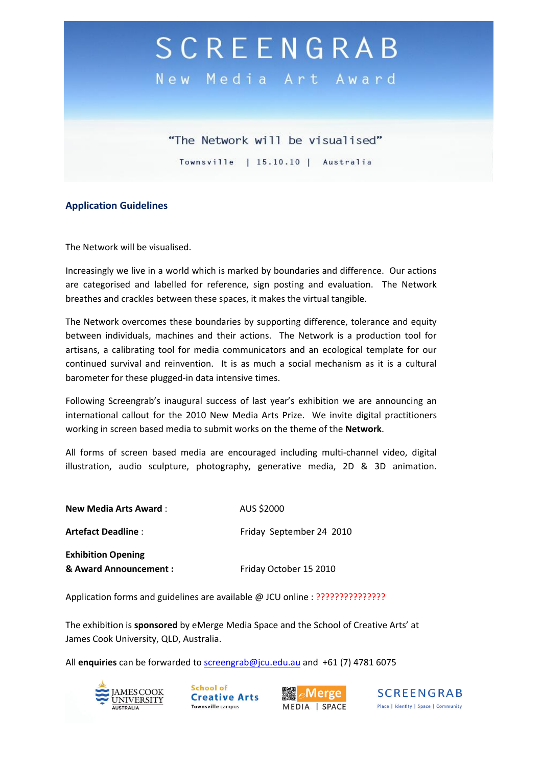## SCREENGRAB

New Media Art Award

"The Network will be visualised" Townsville | 15.10.10 | Australia

#### **Application Guidelines**

The Network will be visualised.

Increasingly we live in a world which is marked by boundaries and difference. Our actions are categorised and labelled for reference, sign posting and evaluation. The Network breathes and crackles between these spaces, it makes the virtual tangible.

The Network overcomes these boundaries by supporting difference, tolerance and equity between individuals, machines and their actions. The Network is a production tool for artisans, a calibrating tool for media communicators and an ecological template for our continued survival and reinvention. It is as much a social mechanism as it is a cultural barometer for these plugged-in data intensive times.

Following Screengrab's inaugural success of last year's exhibition we are announcing an international callout for the 2010 New Media Arts Prize. We invite digital practitioners working in screen based media to submit works on the theme of the **Network**.

All forms of screen based media are encouraged including multi-channel video, digital illustration, audio sculpture, photography, generative media, 2D & 3D animation.

| <b>New Media Arts Award:</b> | AUS \$2000               |
|------------------------------|--------------------------|
| Artefact Deadline :          | Friday September 24 2010 |
| <b>Exhibition Opening</b>    |                          |
| & Award Announcement :       | Friday October 15 2010   |

Application forms and guidelines are available @ JCU online : ???????????????

The exhibition is **sponsored** by eMerge Media Space and the School of Creative Arts' at James Cook University, QLD, Australia.

All **enquiries** can be forwarded to [screengrab@jcu.edu.au](mailto:screengrab@jcu.edu.au) and +61 (7) 4781 6075



School of **Creative Arts** Townsville campus



**SCREENGRAB** Place | Identity | Space | Community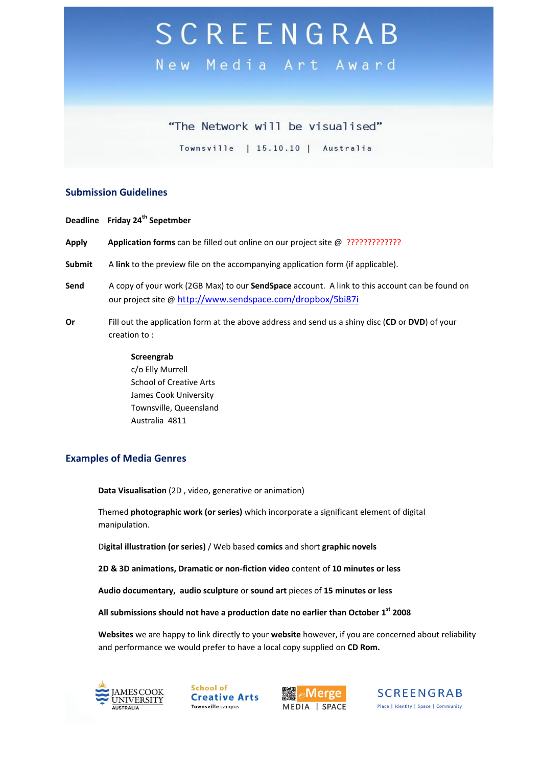# SCREENGRAB

New Media Art Award

### "The Network will be visualised"

Townsville | 15.10.10 | Australia

#### **Submission Guidelines**

**Deadline Friday 24th Sepetmber Apply Application forms** can be filled out online on our project site @ ????????????? **Submit** A **link** to the preview file on the accompanying application form (if applicable). **Send** A copy of your work (2GB Max) to our **SendSpace** account. A link to this account can be found on our project site @ [http://www.sendspace.com/dropbox/5bi87i](https://mail.jcu.edu.au/wm/mail/fetch.html?urlid=g0ae8004fcd5d889c50007464c89871334kihep9l8l&url=http%3A%2F%2Fwww.sendspace.com%2Fdropbox%2F5bi87i) **Or** Fill out the application form at the above address and send us a shiny disc (**CD** or **DVD**) of your creation to :

#### **Screengrab** c/o Elly Murrell School of Creative Arts James Cook University Townsville, Queensland Australia 4811

#### **Examples of Media Genres**

**Data Visualisation** (2D , video, generative or animation)

Themed **photographic work (or series)** which incorporate a significant element of digital manipulation.

D**igital illustration (or series)** / Web based **comics** and short **graphic novels**

**2D & 3D animations, Dramatic or non-fiction video** content of **10 minutes or less**

**Audio documentary, audio sculpture** or **sound art** pieces of **15 minutes or less** 

**All submissions should not have a production date no earlier than October 1 st 2008**

**Websites** we are happy to link directly to your **website** however, if you are concerned about reliability and performance we would prefer to have a local copy supplied on **CD Rom.**